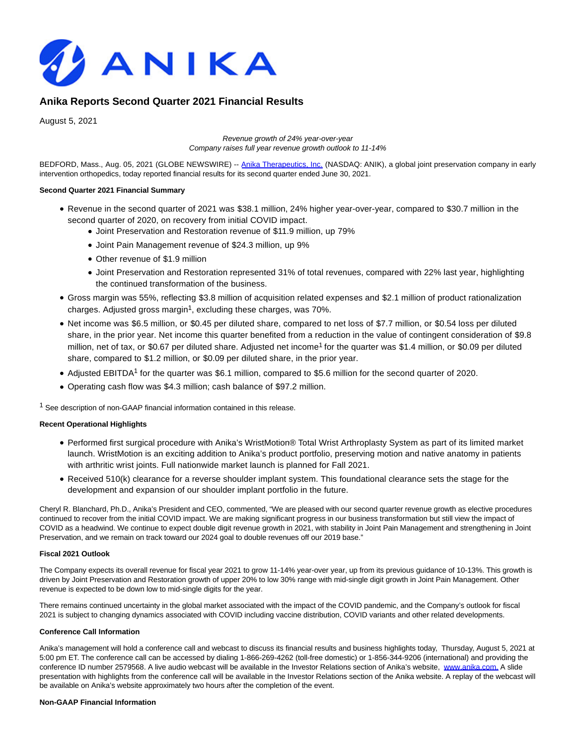

# **Anika Reports Second Quarter 2021 Financial Results**

August 5, 2021

Revenue growth of 24% year-over-year Company raises full year revenue growth outlook to 11-14%

BEDFORD, Mass., Aug. 05, 2021 (GLOBE NEWSWIRE) -[- Anika Therapeutics, Inc. \(](https://www.globenewswire.com/Tracker?data=eYlph_3CDrghjDKPy5_trItgKY_cCPY98gqdtIePQGVLrg2JGVXwTzW5DQlmizg6ZQz9r-AyTjARw_NaLPlk09qR4ImAMkvvj81-B3ogEM4=)NASDAQ: ANIK), a global joint preservation company in early intervention orthopedics, today reported financial results for its second quarter ended June 30, 2021.

### **Second Quarter 2021 Financial Summary**

- Revenue in the second quarter of 2021 was \$38.1 million, 24% higher year-over-year, compared to \$30.7 million in the second quarter of 2020, on recovery from initial COVID impact.
	- Joint Preservation and Restoration revenue of \$11.9 million, up 79%
	- Joint Pain Management revenue of \$24.3 million, up 9%
	- Other revenue of \$1.9 million
	- Joint Preservation and Restoration represented 31% of total revenues, compared with 22% last year, highlighting the continued transformation of the business.
- Gross margin was 55%, reflecting \$3.8 million of acquisition related expenses and \$2.1 million of product rationalization charges. Adjusted gross margin<sup>1</sup>, excluding these charges, was 70%.
- Net income was \$6.5 million, or \$0.45 per diluted share, compared to net loss of \$7.7 million, or \$0.54 loss per diluted share, in the prior year. Net income this quarter benefited from a reduction in the value of contingent consideration of \$9.8 million, net of tax, or \$0.67 per diluted share. Adjusted net income<sup>1</sup> for the quarter was \$1.4 million, or \$0.09 per diluted share, compared to \$1.2 million, or \$0.09 per diluted share, in the prior year.
- Adjusted EBITDA<sup>1</sup> for the quarter was \$6.1 million, compared to \$5.6 million for the second quarter of 2020.
- Operating cash flow was \$4.3 million; cash balance of \$97.2 million.

<sup>1</sup> See description of non-GAAP financial information contained in this release.

### **Recent Operational Highlights**

- Performed first surgical procedure with Anika's WristMotion® Total Wrist Arthroplasty System as part of its limited market launch. WristMotion is an exciting addition to Anika's product portfolio, preserving motion and native anatomy in patients with arthritic wrist joints. Full nationwide market launch is planned for Fall 2021.
- Received 510(k) clearance for a reverse shoulder implant system. This foundational clearance sets the stage for the development and expansion of our shoulder implant portfolio in the future.

Cheryl R. Blanchard, Ph.D., Anika's President and CEO, commented, "We are pleased with our second quarter revenue growth as elective procedures continued to recover from the initial COVID impact. We are making significant progress in our business transformation but still view the impact of COVID as a headwind. We continue to expect double digit revenue growth in 2021, with stability in Joint Pain Management and strengthening in Joint Preservation, and we remain on track toward our 2024 goal to double revenues off our 2019 base."

### **Fiscal 2021 Outlook**

The Company expects its overall revenue for fiscal year 2021 to grow 11-14% year-over year, up from its previous guidance of 10-13%. This growth is driven by Joint Preservation and Restoration growth of upper 20% to low 30% range with mid-single digit growth in Joint Pain Management. Other revenue is expected to be down low to mid-single digits for the year.

There remains continued uncertainty in the global market associated with the impact of the COVID pandemic, and the Company's outlook for fiscal 2021 is subject to changing dynamics associated with COVID including vaccine distribution, COVID variants and other related developments.

## **Conference Call Information**

Anika's management will hold a conference call and webcast to discuss its financial results and business highlights today, Thursday, August 5, 2021 at 5:00 pm ET. The conference call can be accessed by dialing 1-866-269-4262 (toll-free domestic) or 1-856-344-9206 (international) and providing the conference ID number 2579568. A live audio webcast will be available in the Investor Relations section of Anika's website, [www.anika.com.](https://www.globenewswire.com/Tracker?data=BWop--s7f7D8kUNqtUJkSqRFPX8RjOhr0NJ4ofXY4-OzZmvQHGWCBa1ev-5B05XvXFoD_FR0CW4juXCsY0Yskg==) [A](https://www.globenewswire.com/Tracker?data=IUh5uIIXcYwCBOB0HJfXJ8r8EKPXp7aJKdUVY4Fp0nyxghG7bK6Ey2V1ePx1laCu4Ulj6hpIRkmxCUEDYx380deWGudbUyIPDmGFZg0nJZ8=) slide presentation with highlights from the conference call will be available in the Investor Relations section of the Anika website. A replay of the webcast will be available on Anika's website approximately two hours after the completion of the event.

#### **Non-GAAP Financial Information**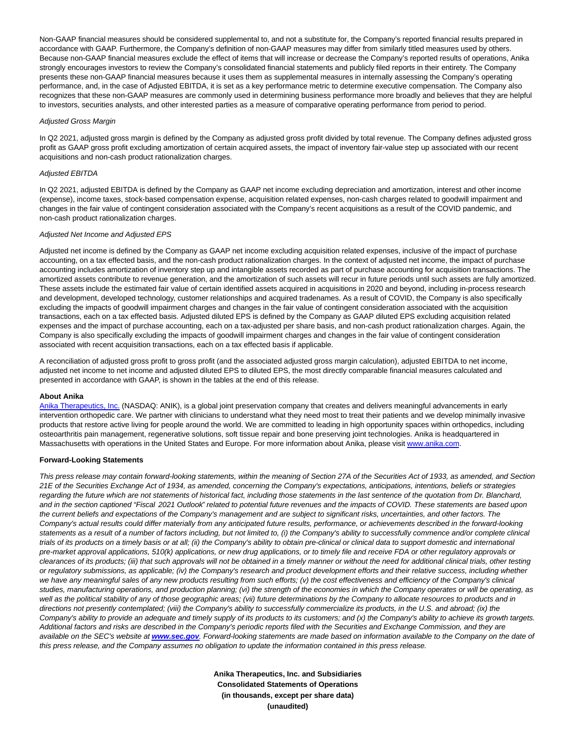Non-GAAP financial measures should be considered supplemental to, and not a substitute for, the Company's reported financial results prepared in accordance with GAAP. Furthermore, the Company's definition of non-GAAP measures may differ from similarly titled measures used by others. Because non-GAAP financial measures exclude the effect of items that will increase or decrease the Company's reported results of operations, Anika strongly encourages investors to review the Company's consolidated financial statements and publicly filed reports in their entirety. The Company presents these non-GAAP financial measures because it uses them as supplemental measures in internally assessing the Company's operating performance, and, in the case of Adjusted EBITDA, it is set as a key performance metric to determine executive compensation. The Company also recognizes that these non-GAAP measures are commonly used in determining business performance more broadly and believes that they are helpful to investors, securities analysts, and other interested parties as a measure of comparative operating performance from period to period.

#### Adjusted Gross Margin

In Q2 2021, adjusted gross margin is defined by the Company as adjusted gross profit divided by total revenue. The Company defines adjusted gross profit as GAAP gross profit excluding amortization of certain acquired assets, the impact of inventory fair-value step up associated with our recent acquisitions and non-cash product rationalization charges.

### Adjusted EBITDA

In Q2 2021, adjusted EBITDA is defined by the Company as GAAP net income excluding depreciation and amortization, interest and other income (expense), income taxes, stock-based compensation expense, acquisition related expenses, non-cash charges related to goodwill impairment and changes in the fair value of contingent consideration associated with the Company's recent acquisitions as a result of the COVID pandemic, and non-cash product rationalization charges.

### Adjusted Net Income and Adjusted EPS

Adjusted net income is defined by the Company as GAAP net income excluding acquisition related expenses, inclusive of the impact of purchase accounting, on a tax effected basis, and the non-cash product rationalization charges. In the context of adjusted net income, the impact of purchase accounting includes amortization of inventory step up and intangible assets recorded as part of purchase accounting for acquisition transactions. The amortized assets contribute to revenue generation, and the amortization of such assets will recur in future periods until such assets are fully amortized. These assets include the estimated fair value of certain identified assets acquired in acquisitions in 2020 and beyond, including in-process research and development, developed technology, customer relationships and acquired tradenames. As a result of COVID, the Company is also specifically excluding the impacts of goodwill impairment charges and changes in the fair value of contingent consideration associated with the acquisition transactions, each on a tax effected basis. Adjusted diluted EPS is defined by the Company as GAAP diluted EPS excluding acquisition related expenses and the impact of purchase accounting, each on a tax-adjusted per share basis, and non-cash product rationalization charges. Again, the Company is also specifically excluding the impacts of goodwill impairment charges and changes in the fair value of contingent consideration associated with recent acquisition transactions, each on a tax effected basis if applicable.

A reconciliation of adjusted gross profit to gross profit (and the associated adjusted gross margin calculation), adjusted EBITDA to net income, adjusted net income to net income and adjusted diluted EPS to diluted EPS, the most directly comparable financial measures calculated and presented in accordance with GAAP, is shown in the tables at the end of this release.

#### **About Anika**

[Anika Therapeutics, Inc. \(](https://www.globenewswire.com/Tracker?data=eYlph_3CDrghjDKPy5_trItgKY_cCPY98gqdtIePQGUtwtY_GdI4m_c9hDV15b_7EmOA1hdsSzBDOIG1UNUkGTzKguVYAG7erzjYPVoRi9w=)NASDAQ: ANIK), is a global joint preservation company that creates and delivers meaningful advancements in early intervention orthopedic care. We partner with clinicians to understand what they need most to treat their patients and we develop minimally invasive products that restore active living for people around the world. We are committed to leading in high opportunity spaces within orthopedics, including osteoarthritis pain management, regenerative solutions, soft tissue repair and bone preserving joint technologies. Anika is headquartered in Massachusetts with operations in the United States and Europe. For more information about Anika, please visit [www.anika.com.](https://www.globenewswire.com/Tracker?data=BWop--s7f7D8kUNqtUJkSr-OSOUma3xHmp1REdWCq-cx7NEX2ntChpXkuYoautfI78gtVtPrcA5MblDFYe9pQw==)

### **Forward-Looking Statements**

This press release may contain forward-looking statements, within the meaning of Section 27A of the Securities Act of 1933, as amended, and Section 21E of the Securities Exchange Act of 1934, as amended, concerning the Company's expectations, anticipations, intentions, beliefs or strategies regarding the future which are not statements of historical fact, including those statements in the last sentence of the quotation from Dr. Blanchard, and in the section captioned "Fiscal 2021 Outlook" related to potential future revenues and the impacts of COVID. These statements are based upon the current beliefs and expectations of the Company's management and are subject to significant risks, uncertainties, and other factors. The Company's actual results could differ materially from any anticipated future results, performance, or achievements described in the forward-looking statements as a result of a number of factors including, but not limited to, (i) the Company's ability to successfully commence and/or complete clinical trials of its products on a timely basis or at all; (ii) the Company's ability to obtain pre-clinical or clinical data to support domestic and international pre-market approval applications, 510(k) applications, or new drug applications, or to timely file and receive FDA or other regulatory approvals or clearances of its products; (iii) that such approvals will not be obtained in a timely manner or without the need for additional clinical trials, other testing or regulatory submissions, as applicable; (iv) the Company's research and product development efforts and their relative success, including whether we have any meaningful sales of any new products resulting from such efforts; (v) the cost effectiveness and efficiency of the Company's clinical studies, manufacturing operations, and production planning; (vi) the strength of the economies in which the Company operates or will be operating, as well as the political stability of any of those geographic areas; (vii) future determinations by the Company to allocate resources to products and in directions not presently contemplated; (viii) the Company's ability to successfully commercialize its products, in the U.S. and abroad; (ix) the Company's ability to provide an adequate and timely supply of its products to its customers; and (x) the Company's ability to achieve its growth targets. Additional factors and risks are described in the Company's periodic reports filed with the Securities and Exchange Commission, and they are available on the SEC's website at **[www.sec.gov](https://www.globenewswire.com/Tracker?data=d1Et35z6ZVrFTNkv32GnaBan5lssn_1lTWha84moGSdYgPyJVAs8Mkmqkn_adTrXXVZ5V7tTKWKziVlBzt37YQ==)**. Forward-looking statements are made based on information available to the Company on the date of this press release, and the Company assumes no obligation to update the information contained in this press release.

> **Anika Therapeutics, Inc. and Subsidiaries Consolidated Statements of Operations (in thousands, except per share data) (unaudited)**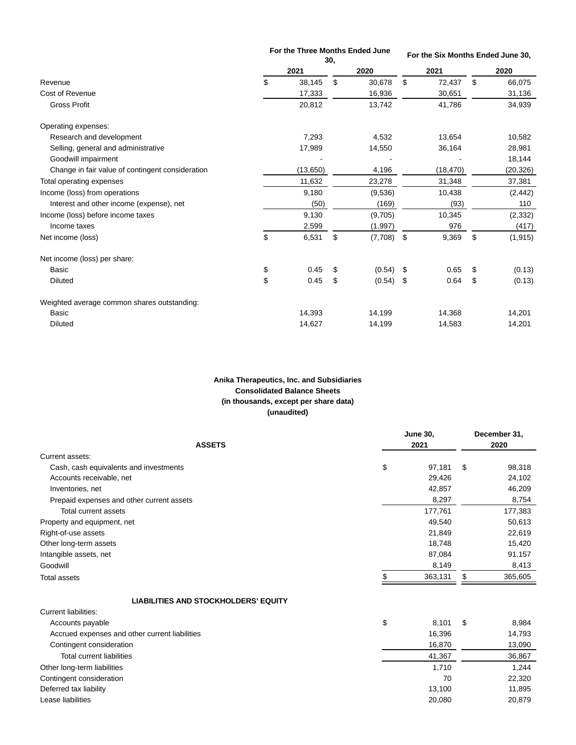|                                                  | For the Three Months Ended June<br>30, |    |         | For the Six Months Ended June 30, |    |           |  |
|--------------------------------------------------|----------------------------------------|----|---------|-----------------------------------|----|-----------|--|
|                                                  | 2021                                   |    | 2020    | 2021                              |    | 2020      |  |
| Revenue                                          | \$<br>38,145                           | \$ | 30,678  | \$<br>72,437                      | \$ | 66,075    |  |
| Cost of Revenue                                  | 17,333                                 |    | 16,936  | 30,651                            |    | 31,136    |  |
| <b>Gross Profit</b>                              | 20,812                                 |    | 13,742  | 41,786                            |    | 34,939    |  |
| Operating expenses:                              |                                        |    |         |                                   |    |           |  |
| Research and development                         | 7,293                                  |    | 4,532   | 13,654                            |    | 10,582    |  |
| Selling, general and administrative              | 17,989                                 |    | 14,550  | 36,164                            |    | 28,981    |  |
| Goodwill impairment                              |                                        |    |         |                                   |    | 18,144    |  |
| Change in fair value of contingent consideration | (13, 650)                              |    | 4,196   | (18, 470)                         |    | (20, 326) |  |
| Total operating expenses                         | 11,632                                 |    | 23,278  | 31,348                            |    | 37,381    |  |
| Income (loss) from operations                    | 9,180                                  |    | (9,536) | 10,438                            |    | (2, 442)  |  |
| Interest and other income (expense), net         | (50)                                   |    | (169)   | (93)                              |    | 110       |  |
| Income (loss) before income taxes                | 9,130                                  |    | (9,705) | 10,345                            |    | (2, 332)  |  |
| Income taxes                                     | 2,599                                  |    | (1,997) | 976                               |    | (417)     |  |
| Net income (loss)                                | \$<br>6,531                            | \$ | (7,708) | \$<br>9,369                       | \$ | (1, 915)  |  |
| Net income (loss) per share:                     |                                        |    |         |                                   |    |           |  |
| <b>Basic</b>                                     | \$<br>0.45                             | \$ | (0.54)  | \$<br>0.65                        | \$ | (0.13)    |  |
| <b>Diluted</b>                                   | \$<br>0.45                             | \$ | (0.54)  | \$<br>0.64                        | \$ | (0.13)    |  |
| Weighted average common shares outstanding:      |                                        |    |         |                                   |    |           |  |
| <b>Basic</b>                                     | 14,393                                 |    | 14,199  | 14,368                            |    | 14,201    |  |
| <b>Diluted</b>                                   | 14,627                                 |    | 14,199  | 14,583                            |    | 14,201    |  |

# **Anika Therapeutics, Inc. and Subsidiaries Consolidated Balance Sheets (in thousands, except per share data) (unaudited)**

| <b>ASSETS</b>                             | <b>June 30,</b><br>2021 |         |    | December 31,<br>2020 |
|-------------------------------------------|-------------------------|---------|----|----------------------|
|                                           |                         |         |    |                      |
| Current assets:                           |                         |         |    |                      |
| Cash, cash equivalents and investments    | \$                      | 97.181  | \$ | 98,318               |
| Accounts receivable, net                  |                         | 29,426  |    | 24,102               |
| Inventories, net                          |                         | 42,857  |    | 46,209               |
| Prepaid expenses and other current assets |                         | 8,297   |    | 8,754                |
| Total current assets                      |                         | 177,761 |    | 177,383              |
| Property and equipment, net               |                         | 49,540  |    | 50,613               |
| Right-of-use assets                       |                         | 21,849  |    | 22,619               |
| Other long-term assets                    |                         | 18,748  |    | 15,420               |
| Intangible assets, net                    |                         | 87,084  |    | 91,157               |
| Goodwill                                  |                         | 8,149   |    | 8,413                |
| <b>Total assets</b>                       |                         | 363,131 | S  | 365,605              |
|                                           |                         |         |    |                      |

# **LIABILITIES AND STOCKHOLDERS' EQUITY**

| Current liabilities:                           |             |   |        |
|------------------------------------------------|-------------|---|--------|
| Accounts payable                               | \$<br>8.101 | S | 8,984  |
| Accrued expenses and other current liabilities | 16,396      |   | 14,793 |
| Contingent consideration                       | 16,870      |   | 13,090 |
| Total current liabilities                      | 41,367      |   | 36,867 |
| Other long-term liabilities                    | 1.710       |   | 1,244  |
| Contingent consideration                       | 70          |   | 22,320 |
| Deferred tax liability                         | 13,100      |   | 11,895 |
| Lease liabilities                              | 20,080      |   | 20,879 |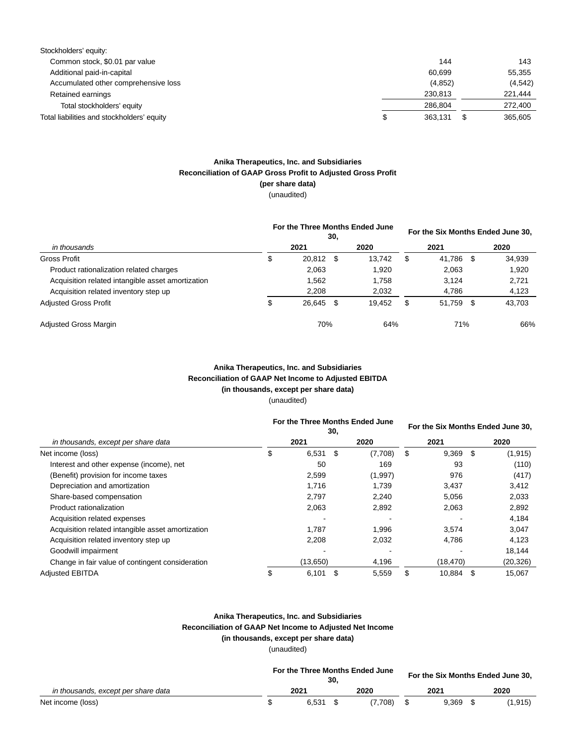| Stockholders' equity:                      |               |   |         |
|--------------------------------------------|---------------|---|---------|
| Common stock, \$0.01 par value             | 144           |   | 143     |
| Additional paid-in-capital                 | 60.699        |   | 55.355  |
| Accumulated other comprehensive loss       | (4, 852)      |   | (4,542) |
| Retained earnings                          | 230.813       |   | 221,444 |
| Total stockholders' equity                 | 286.804       |   | 272,400 |
| Total liabilities and stockholders' equity | \$<br>363.131 | S | 365.605 |

## **Anika Therapeutics, Inc. and Subsidiaries Reconciliation of GAAP Gross Profit to Adjusted Gross Profit (per share data)**

(unaudited)

| in thousands                                      | For the Three Months Ended June<br>30, |           |  |        | For the Six Months Ended June 30, |        |    |        |
|---------------------------------------------------|----------------------------------------|-----------|--|--------|-----------------------------------|--------|----|--------|
|                                                   |                                        | 2021      |  | 2020   |                                   | 2021   |    | 2020   |
| <b>Gross Profit</b>                               | \$                                     | 20,812 \$ |  | 13.742 | S                                 | 41.786 | S  | 34,939 |
| Product rationalization related charges           |                                        | 2.063     |  | 1.920  |                                   | 2,063  |    | 1,920  |
| Acquisition related intangible asset amortization |                                        | 1.562     |  | 1.758  |                                   | 3.124  |    | 2.721  |
| Acquisition related inventory step up             |                                        | 2.208     |  | 2,032  |                                   | 4,786  |    | 4,123  |
| <b>Adjusted Gross Profit</b>                      | \$                                     | 26,645 \$ |  | 19,452 | S                                 | 51,759 | \$ | 43,703 |
| <b>Adjusted Gross Margin</b>                      |                                        | 70%       |  | 64%    |                                   | 71%    |    | 66%    |

# **Anika Therapeutics, Inc. and Subsidiaries Reconciliation of GAAP Net Income to Adjusted EBITDA (in thousands, except per share data)** (unaudited)

|                                                   | For the Three Months Ended June<br>30, |            |     |         | For the Six Months Ended June 30, |           |    |           |
|---------------------------------------------------|----------------------------------------|------------|-----|---------|-----------------------------------|-----------|----|-----------|
| in thousands, except per share data               |                                        | 2021       |     | 2020    |                                   | 2021      |    | 2020      |
| Net income (loss)                                 | \$                                     | 6,531      | -\$ | (7,708) | \$                                | 9,369     | \$ | (1, 915)  |
| Interest and other expense (income), net          |                                        | 50         |     | 169     |                                   | 93        |    | (110)     |
| (Benefit) provision for income taxes              |                                        | 2,599      |     | (1,997) |                                   | 976       |    | (417)     |
| Depreciation and amortization                     |                                        | 1,716      |     | 1,739   |                                   | 3,437     |    | 3,412     |
| Share-based compensation                          |                                        | 2.797      |     | 2.240   |                                   | 5,056     |    | 2,033     |
| Product rationalization                           |                                        | 2,063      |     | 2,892   |                                   | 2,063     |    | 2,892     |
| Acquisition related expenses                      |                                        |            |     |         |                                   |           |    | 4,184     |
| Acquisition related intangible asset amortization |                                        | 1.787      |     | 1,996   |                                   | 3,574     |    | 3,047     |
| Acquisition related inventory step up             |                                        | 2.208      |     | 2.032   |                                   | 4.786     |    | 4.123     |
| Goodwill impairment                               |                                        |            |     |         |                                   |           |    | 18,144    |
| Change in fair value of contingent consideration  |                                        | (13,650)   |     | 4,196   |                                   | (18, 470) |    | (20, 326) |
| <b>Adjusted EBITDA</b>                            | \$                                     | $6,101$ \$ |     | 5,559   | \$                                | 10,884    | \$ | 15,067    |

# **Anika Therapeutics, Inc. and Subsidiaries Reconciliation of GAAP Net Income to Adjusted Net Income (in thousands, except per share data)**

(unaudited)

|                                     | For the Three Months Ended June<br>30 |  |         |  | For the Six Months Ended June 30, |  |          |  |  |
|-------------------------------------|---------------------------------------|--|---------|--|-----------------------------------|--|----------|--|--|
| in thousands, except per share data | 2021                                  |  | 2020    |  | 2021                              |  | 2020     |  |  |
| Net income (loss)                   | 6.531                                 |  | (7.708) |  | 9.369                             |  | (1, 915) |  |  |